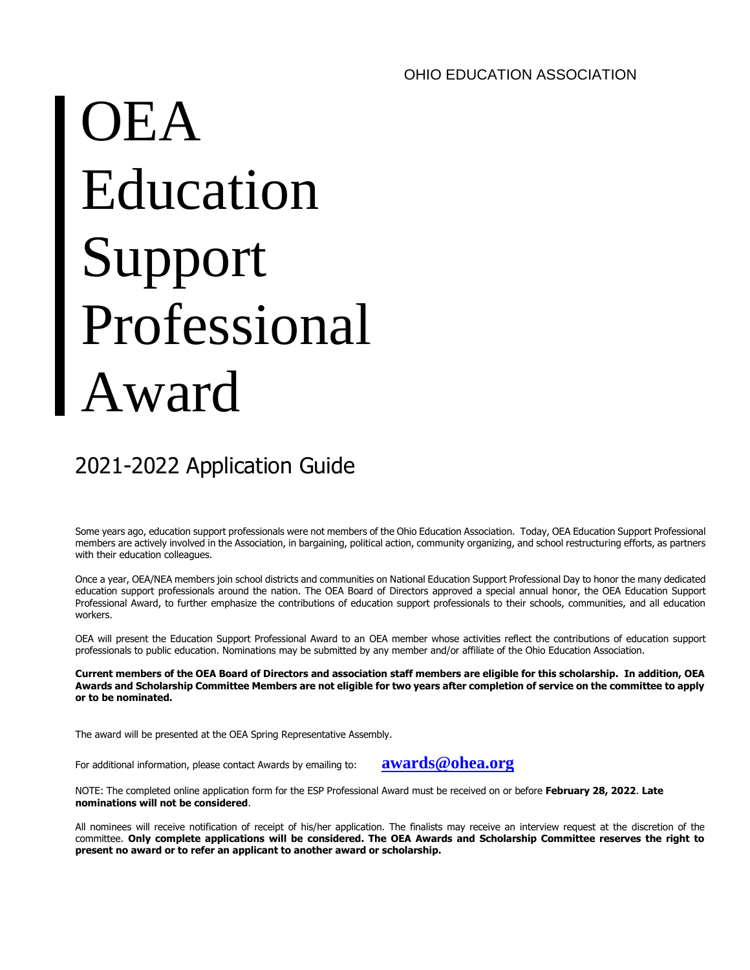# OEA Education Support Professional Award

# 2021-2022 Application Guide

Some years ago, education support professionals were not members of the Ohio Education Association. Today, OEA Education Support Professional members are actively involved in the Association, in bargaining, political action, community organizing, and school restructuring efforts, as partners with their education colleagues.

Once a year, OEA/NEA members join school districts and communities on National Education Support Professional Day to honor the many dedicated education support professionals around the nation. The OEA Board of Directors approved a special annual honor, the OEA Education Support Professional Award, to further emphasize the contributions of education support professionals to their schools, communities, and all education workers.

OEA will present the Education Support Professional Award to an OEA member whose activities reflect the contributions of education support professionals to public education. Nominations may be submitted by any member and/or affiliate of the Ohio Education Association.

**Current members of the OEA Board of Directors and association staff members are eligible for this scholarship. In addition, OEA Awards and Scholarship Committee Members are not eligible for two years after completion of service on the committee to apply or to be nominated.**

The award will be presented at the OEA Spring Representative Assembly.

For additional information, please contact Awards by emailing to: **[awards@ohea.org](mailto:awards@ohea.org)** 

NOTE: The completed online application form for the ESP Professional Award must be received on or before **February 28, 2022**. **Late nominations will not be considered**.

All nominees will receive notification of receipt of his/her application. The finalists may receive an interview request at the discretion of the committee. **Only complete applications will be considered. The OEA Awards and Scholarship Committee reserves the right to present no award or to refer an applicant to another award or scholarship.**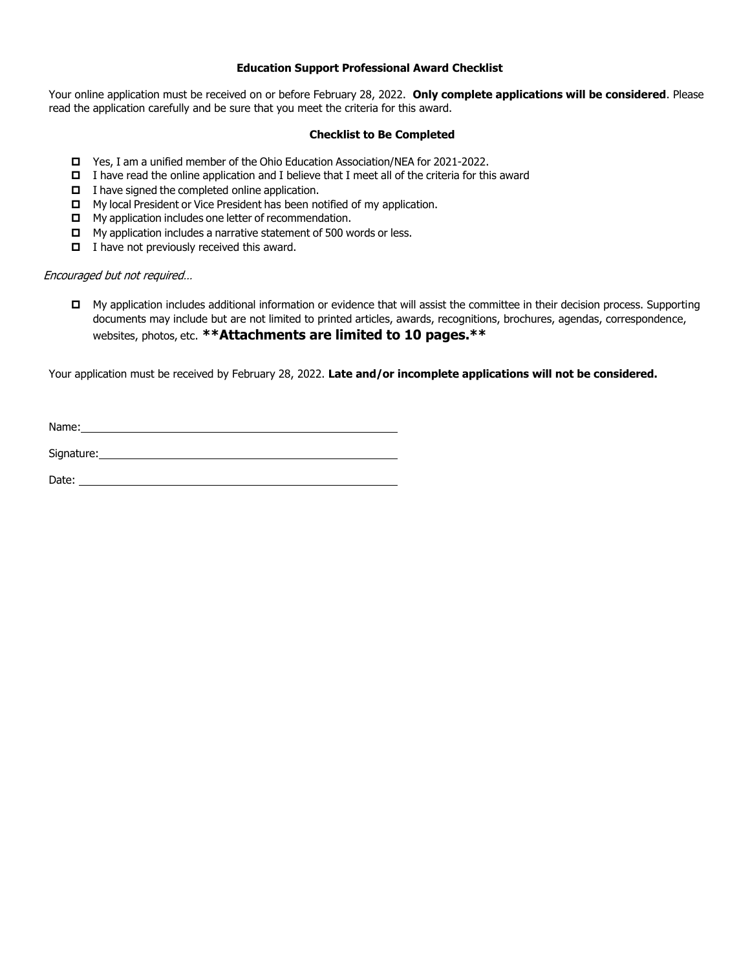#### **Education Support Professional Award Checklist**

Your online application must be received on or before February 28, 2022. **Only complete applications will be considered**. Please read the application carefully and be sure that you meet the criteria for this award.

#### **Checklist to Be Completed**

- Yes, I am a unified member of the Ohio Education Association/NEA for 2021-2022.
- $\Box$  I have read the online application and I believe that I meet all of the criteria for this award
- $\Box$  I have signed the completed online application.
- □ My local President or Vice President has been notified of my application.
- $\Box$  My application includes one letter of recommendation.
- $\Box$  My application includes a narrative statement of 500 words or less.
- $\Box$  I have not previously received this award.

#### Encouraged but not required…

 My application includes additional information or evidence that will assist the committee in their decision process. Supporting documents may include but are not limited to printed articles, awards, recognitions, brochures, agendas, correspondence, websites, photos, etc. **\*\*Attachments are limited to 10 pages.\*\***

Your application must be received by February 28, 2022. **Late and/or incomplete applications will not be considered.**

| Name:      |  |  |
|------------|--|--|
|            |  |  |
| Signature: |  |  |

Date: **Date:**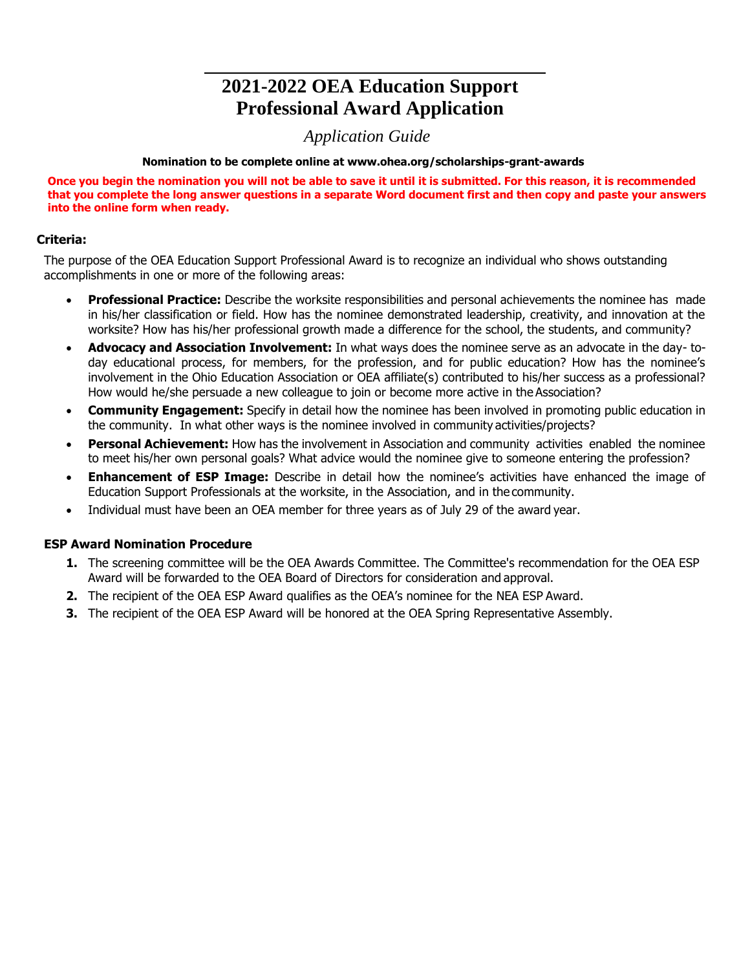## **2021-2022 OEA Education Support Professional Award Application**

### *Application Guide*

#### **Nomination to be complete online at www.ohea.org/scholarships-grant-awards**

**Once you begin the nomination you will not be able to save it until it is submitted. For this reason, it is recommended that you complete the long answer questions in a separate Word document first and then copy and paste your answers into the online form when ready.**

#### **Criteria:**

The purpose of the OEA Education Support Professional Award is to recognize an individual who shows outstanding accomplishments in one or more of the following areas:

- **Professional Practice:** Describe the worksite responsibilities and personal achievements the nominee has made in his/her classification or field. How has the nominee demonstrated leadership, creativity, and innovation at the worksite? How has his/her professional growth made a difference for the school, the students, and community?
- **Advocacy and Association Involvement:** In what ways does the nominee serve as an advocate in the day- today educational process, for members, for the profession, and for public education? How has the nominee's involvement in the Ohio Education Association or OEA affiliate(s) contributed to his/her success as a professional? How would he/she persuade a new colleague to join or become more active in the Association?
- **Community Engagement:** Specify in detail how the nominee has been involved in promoting public education in the community. In what other ways is the nominee involved in community activities/projects?
- **Personal Achievement:** How has the involvement in Association and community activities enabled the nominee to meet his/her own personal goals? What advice would the nominee give to someone entering the profession?
- **Enhancement of ESP Image:** Describe in detail how the nominee's activities have enhanced the image of Education Support Professionals at the worksite, in the Association, and in the community.
- Individual must have been an OEA member for three years as of July 29 of the award year.

#### **ESP Award Nomination Procedure**

- **1.** The screening committee will be the OEA Awards Committee. The Committee's recommendation for the OEA ESP Award will be forwarded to the OEA Board of Directors for consideration and approval.
- **2.** The recipient of the OEA ESP Award qualifies as the OEA's nominee for the NEA ESP Award.
- **3.** The recipient of the OEA ESP Award will be honored at the OEA Spring Representative Assembly.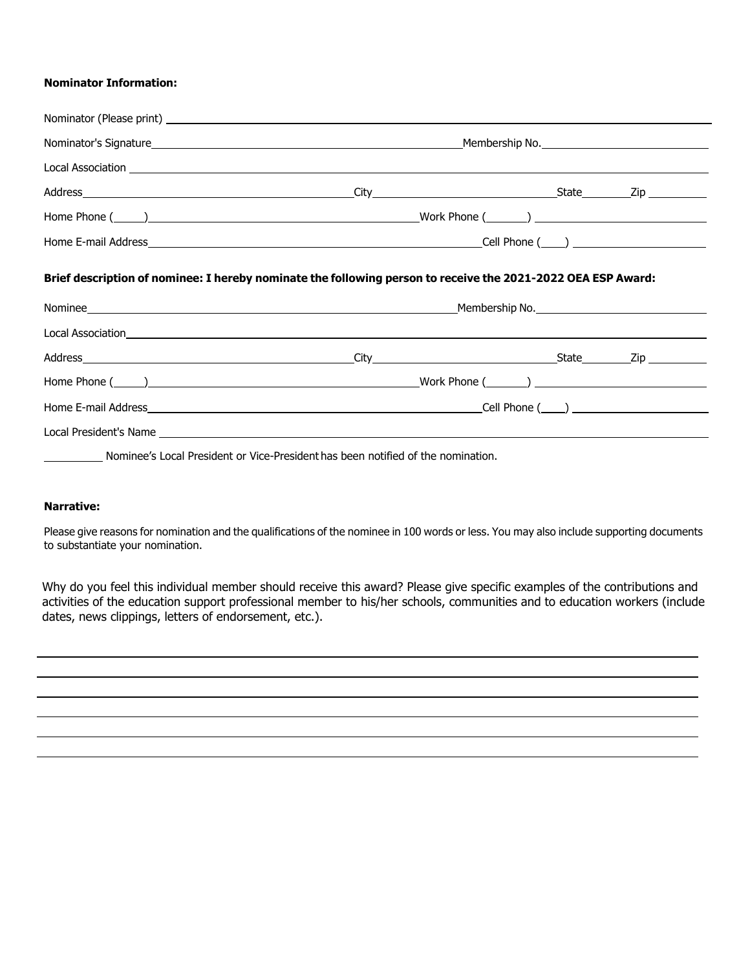#### **Nominator Information:**

|                                                | Local Association <u>experience</u> and the contract of the contract of the contract of the contract of the contract of the contract of the contract of the contract of the contract of the contract of the contract of the contrac |  |  |  |  |
|------------------------------------------------|-------------------------------------------------------------------------------------------------------------------------------------------------------------------------------------------------------------------------------------|--|--|--|--|
|                                                |                                                                                                                                                                                                                                     |  |  |  |  |
|                                                |                                                                                                                                                                                                                                     |  |  |  |  |
|                                                |                                                                                                                                                                                                                                     |  |  |  |  |
|                                                | Brief description of nominee: I hereby nominate the following person to receive the 2021-2022 OEA ESP Award:                                                                                                                        |  |  |  |  |
|                                                |                                                                                                                                                                                                                                     |  |  |  |  |
|                                                |                                                                                                                                                                                                                                     |  |  |  |  |
|                                                |                                                                                                                                                                                                                                     |  |  |  |  |
|                                                |                                                                                                                                                                                                                                     |  |  |  |  |
|                                                |                                                                                                                                                                                                                                     |  |  |  |  |
|                                                |                                                                                                                                                                                                                                     |  |  |  |  |
| $\mathcal{L} = \mathcal{L} \times \mathcal{L}$ | Nominee's Local President or Vice-President has been notified of the nomination.                                                                                                                                                    |  |  |  |  |

# **Narrative:**

Please give reasons for nomination and the qualifications of the nominee in 100 words or less. You may also include supporting documents to substantiate your nomination.

Why do you feel this individual member should receive this award? Please give specific examples of the contributions and activities of the education support professional member to his/her schools, communities and to education workers (include dates, news clippings, letters of endorsement, etc.).